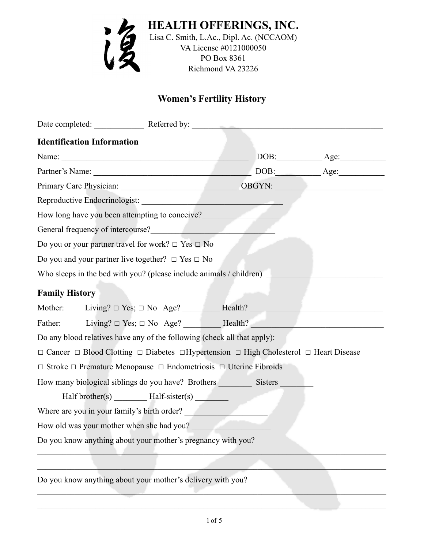

# **Women's Fertility History**

|                                             | Date completed: Referred by: Referred by:                                                                            |  |               |  |
|---------------------------------------------|----------------------------------------------------------------------------------------------------------------------|--|---------------|--|
| <b>Identification Information</b>           |                                                                                                                      |  |               |  |
|                                             |                                                                                                                      |  | $DOB:$ $Age:$ |  |
|                                             | Partner's Name: <u>Name:</u> DOB: Age: Age:                                                                          |  |               |  |
|                                             | Primary Care Physician: OBGYN: OBGYN:                                                                                |  |               |  |
|                                             |                                                                                                                      |  |               |  |
|                                             | How long have you been attempting to conceive?                                                                       |  |               |  |
|                                             | General frequency of intercourse?<br><u>Conservation</u>                                                             |  |               |  |
|                                             | Do you or your partner travel for work? $\Box$ Yes $\Box$ No                                                         |  |               |  |
|                                             | Do you and your partner live together? $\Box$ Yes $\Box$ No                                                          |  |               |  |
|                                             | Who sleeps in the bed with you? (please include animals / children)                                                  |  |               |  |
| <b>Family History</b>                       |                                                                                                                      |  |               |  |
|                                             |                                                                                                                      |  |               |  |
|                                             | Father: Living? $\Box$ Yes; $\Box$ No Age? Health? Health?                                                           |  |               |  |
|                                             | Do any blood relatives have any of the following (check all that apply):                                             |  |               |  |
|                                             | $\Box$ Cancer $\Box$ Blood Clotting $\Box$ Diabetes $\Box$ Hypertension $\Box$ High Cholesterol $\Box$ Heart Disease |  |               |  |
|                                             | $\Box$ Stroke $\Box$ Premature Menopause $\Box$ Endometriosis $\Box$ Uterine Fibroids                                |  |               |  |
|                                             |                                                                                                                      |  |               |  |
|                                             | Half brother(s) __________ Half-sister(s) ________                                                                   |  |               |  |
| Where are you in your family's birth order? |                                                                                                                      |  |               |  |
| How old was your mother when she had you?   |                                                                                                                      |  |               |  |
|                                             | Do you know anything about your mother's pregnancy with you?                                                         |  |               |  |
|                                             |                                                                                                                      |  |               |  |
|                                             | Do you know anything about your mother's delivery with you?                                                          |  |               |  |

 $\mathcal{L}_\mathcal{L} = \{ \mathcal{L}_\mathcal{L} = \{ \mathcal{L}_\mathcal{L} = \{ \mathcal{L}_\mathcal{L} = \{ \mathcal{L}_\mathcal{L} = \{ \mathcal{L}_\mathcal{L} = \{ \mathcal{L}_\mathcal{L} = \{ \mathcal{L}_\mathcal{L} = \{ \mathcal{L}_\mathcal{L} = \{ \mathcal{L}_\mathcal{L} = \{ \mathcal{L}_\mathcal{L} = \{ \mathcal{L}_\mathcal{L} = \{ \mathcal{L}_\mathcal{L} = \{ \mathcal{L}_\mathcal{L} = \{ \mathcal{L}_\mathcal{$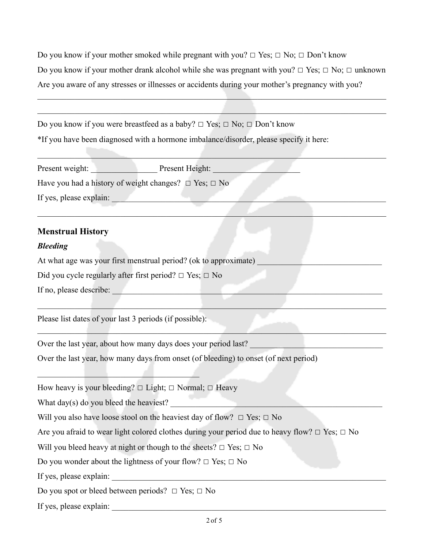Do you know if your mother smoked while pregnant with you?  $\Box$  Yes;  $\Box$  No;  $\Box$  Don't know Do you know if your mother drank alcohol while she was pregnant with you?  $\Box$  Yes;  $\Box$  No;  $\Box$  unknown Are you aware of any stresses or illnesses or accidents during your mother's pregnancy with you?

 $\mathcal{L}_\mathcal{L} = \mathcal{L}_\mathcal{L} = \mathcal{L}_\mathcal{L} = \mathcal{L}_\mathcal{L} = \mathcal{L}_\mathcal{L} = \mathcal{L}_\mathcal{L} = \mathcal{L}_\mathcal{L} = \mathcal{L}_\mathcal{L} = \mathcal{L}_\mathcal{L} = \mathcal{L}_\mathcal{L} = \mathcal{L}_\mathcal{L} = \mathcal{L}_\mathcal{L} = \mathcal{L}_\mathcal{L} = \mathcal{L}_\mathcal{L} = \mathcal{L}_\mathcal{L} = \mathcal{L}_\mathcal{L} = \mathcal{L}_\mathcal{L}$ 

 $\mathcal{L}_\text{max}$  and  $\mathcal{L}_\text{max}$  and  $\mathcal{L}_\text{max}$  and  $\mathcal{L}_\text{max}$  and  $\mathcal{L}_\text{max}$  and  $\mathcal{L}_\text{max}$ 

Do you know if you were breastfeed as a baby?  $\Box$  Yes;  $\Box$  No;  $\Box$  Don't know \*If you have been diagnosed with a hormone imbalance/disorder, please specify it here:

| Present weight:         | Present Height:                                                 |  |
|-------------------------|-----------------------------------------------------------------|--|
|                         | Have you had a history of weight changes? $\Box$ Yes; $\Box$ No |  |
| If yes, please explain: |                                                                 |  |
|                         |                                                                 |  |

 $\mathcal{L}_\mathcal{L} = \mathcal{L}_\mathcal{L} = \mathcal{L}_\mathcal{L} = \mathcal{L}_\mathcal{L} = \mathcal{L}_\mathcal{L} = \mathcal{L}_\mathcal{L} = \mathcal{L}_\mathcal{L} = \mathcal{L}_\mathcal{L} = \mathcal{L}_\mathcal{L} = \mathcal{L}_\mathcal{L} = \mathcal{L}_\mathcal{L} = \mathcal{L}_\mathcal{L} = \mathcal{L}_\mathcal{L} = \mathcal{L}_\mathcal{L} = \mathcal{L}_\mathcal{L} = \mathcal{L}_\mathcal{L} = \mathcal{L}_\mathcal{L}$ 

 $\mathcal{L}_\mathcal{L} = \mathcal{L}_\mathcal{L} = \mathcal{L}_\mathcal{L} = \mathcal{L}_\mathcal{L} = \mathcal{L}_\mathcal{L} = \mathcal{L}_\mathcal{L} = \mathcal{L}_\mathcal{L} = \mathcal{L}_\mathcal{L} = \mathcal{L}_\mathcal{L} = \mathcal{L}_\mathcal{L} = \mathcal{L}_\mathcal{L} = \mathcal{L}_\mathcal{L} = \mathcal{L}_\mathcal{L} = \mathcal{L}_\mathcal{L} = \mathcal{L}_\mathcal{L} = \mathcal{L}_\mathcal{L} = \mathcal{L}_\mathcal{L}$ 

\_\_\_\_\_\_\_\_\_\_\_\_\_\_\_\_\_\_\_\_\_\_\_\_\_\_\_\_\_\_\_\_\_\_\_\_\_\_\_\_\_\_\_\_\_\_\_\_\_\_\_\_\_\_\_\_\_\_\_\_\_\_\_\_\_\_\_\_\_\_\_\_\_\_\_\_\_\_\_\_\_\_\_\_

# **Menstrual History**

### *Bleeding*

At what age was your first menstrual period? (ok to approximate)

Did you cycle regularly after first period?  $\Box$  Yes;  $\Box$  No

If no, please describe:

Please list dates of your last 3 periods (if possible):

 $\mathcal{L}=\mathcal{L}=\mathcal{L}=\mathcal{L}=\mathcal{L}=\mathcal{L}=\mathcal{L}=\mathcal{L}=\mathcal{L}=\mathcal{L}=\mathcal{L}=\mathcal{L}=\mathcal{L}=\mathcal{L}=\mathcal{L}=\mathcal{L}=\mathcal{L}=\mathcal{L}=\mathcal{L}=\mathcal{L}=\mathcal{L}=\mathcal{L}=\mathcal{L}=\mathcal{L}=\mathcal{L}=\mathcal{L}=\mathcal{L}=\mathcal{L}=\mathcal{L}=\mathcal{L}=\mathcal{L}=\mathcal{L}=\mathcal{L}=\mathcal{L}=\mathcal{L}=\mathcal{L}=\mathcal{$ 

Over the last year, about how many days does your period last?

Over the last year, how many days from onset (of bleeding) to onset (of next period)

How heavy is your bleeding?  $\Box$  Light;  $\Box$  Normal;  $\Box$  Heavy

What day $(s)$  do you bleed the heaviest?

Will you also have loose stool on the heaviest day of flow?  $\Box$  Yes;  $\Box$  No

Are you afraid to wear light colored clothes during your period due to heavy flow?  $\Box$  Yes;  $\Box$  No

Will you bleed heavy at night or though to the sheets?  $\Box$  Yes;  $\Box$  No

Do you wonder about the lightness of your flow?  $\Box$  Yes;  $\Box$  No

If yes, please explain:

Do you spot or bleed between periods?  $\Box$  Yes;  $\Box$  No

If yes, please explain: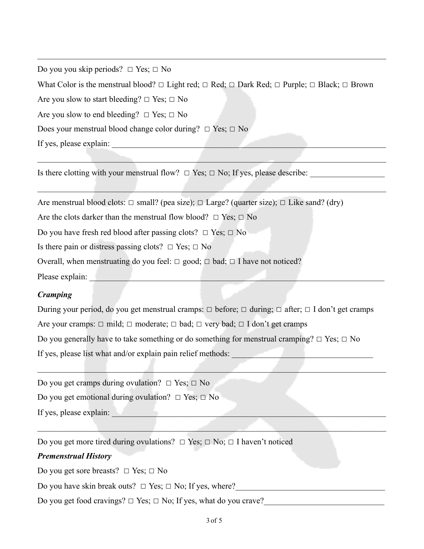Do you you skip periods?  $\Box$  Yes;  $\Box$  No

What Color is the menstrual blood?  $\Box$  Light red;  $\Box$  Red;  $\Box$  Dark Red;  $\Box$  Purple;  $\Box$  Black;  $\Box$  Brown

 $\mathcal{L}_\mathcal{L} = \{ \mathcal{L}_\mathcal{L} = \{ \mathcal{L}_\mathcal{L} = \{ \mathcal{L}_\mathcal{L} = \{ \mathcal{L}_\mathcal{L} = \{ \mathcal{L}_\mathcal{L} = \{ \mathcal{L}_\mathcal{L} = \{ \mathcal{L}_\mathcal{L} = \{ \mathcal{L}_\mathcal{L} = \{ \mathcal{L}_\mathcal{L} = \{ \mathcal{L}_\mathcal{L} = \{ \mathcal{L}_\mathcal{L} = \{ \mathcal{L}_\mathcal{L} = \{ \mathcal{L}_\mathcal{L} = \{ \mathcal{L}_\mathcal{$ 

\_\_\_\_\_\_\_\_\_\_\_\_\_\_\_\_\_\_\_\_\_\_\_\_\_\_\_\_\_\_\_\_\_\_\_\_\_\_\_\_\_\_\_\_\_\_\_\_\_\_\_\_\_\_\_\_\_\_\_\_\_\_\_\_\_\_\_\_\_\_\_\_\_\_\_\_\_\_\_\_\_\_\_\_

 $\mathcal{L}_\mathcal{L} = \mathcal{L}_\mathcal{L} = \mathcal{L}_\mathcal{L} = \mathcal{L}_\mathcal{L} = \mathcal{L}_\mathcal{L} = \mathcal{L}_\mathcal{L} = \mathcal{L}_\mathcal{L} = \mathcal{L}_\mathcal{L} = \mathcal{L}_\mathcal{L} = \mathcal{L}_\mathcal{L} = \mathcal{L}_\mathcal{L} = \mathcal{L}_\mathcal{L} = \mathcal{L}_\mathcal{L} = \mathcal{L}_\mathcal{L} = \mathcal{L}_\mathcal{L} = \mathcal{L}_\mathcal{L} = \mathcal{L}_\mathcal{L}$ 

Are you slow to start bleeding?  $□$  Yes;  $□$  No

Are you slow to end bleeding?  $□$  Yes;  $□$  No

Does your menstrual blood change color during?  $□$  Yes;  $□$  No

If yes, please explain:

Is there clotting with your menstrual flow?  $\Box$  Yes;  $\Box$  No; If yes, please describe:

Are menstrual blood clots:  $\Box$  small? (pea size);  $\Box$  Large? (quarter size);  $\Box$  Like sand? (dry)

Are the clots darker than the menstrual flow blood?  $\Box$  Yes;  $\Box$  No

Do you have fresh red blood after passing clots?  $\Box$  Yes;  $\Box$  No

Is there pain or distress passing clots?  $\Box$  Yes;  $\Box$  No

Overall, when menstruating do you feel:  $\Box$  good;  $\Box$  bad;  $\Box$  I have not noticed?

Please explain:

# *Cramping*

During your period, do you get menstrual cramps:  $\Box$  before;  $\Box$  during;  $\Box$  after;  $\Box$  I don't get cramps Are your cramps:  $\Box$  mild;  $\Box$  moderate;  $\Box$  bad;  $\Box$  very bad;  $\Box$  I don't get cramps Do you generally have to take something or do something for menstrual cramping?  $\Box$  Yes;  $\Box$  No If yes, please list what and/or explain pain relief methods:

 $\mathcal{L} = \{ \mathcal{L} = \{ \mathcal{L} = \mathcal{L} \}$  , where  $\mathcal{L} = \{ \mathcal{L} = \mathcal{L} \}$  , where  $\mathcal{L} = \{ \mathcal{L} = \mathcal{L} \}$ 

 $\mathcal{L}_\mathcal{L} = \mathcal{L}_\mathcal{L} = \mathcal{L}_\mathcal{L} = \mathcal{L}_\mathcal{L} = \mathcal{L}_\mathcal{L} = \mathcal{L}_\mathcal{L} = \mathcal{L}_\mathcal{L} = \mathcal{L}_\mathcal{L} = \mathcal{L}_\mathcal{L} = \mathcal{L}_\mathcal{L} = \mathcal{L}_\mathcal{L} = \mathcal{L}_\mathcal{L} = \mathcal{L}_\mathcal{L} = \mathcal{L}_\mathcal{L} = \mathcal{L}_\mathcal{L} = \mathcal{L}_\mathcal{L} = \mathcal{L}_\mathcal{L}$ 

Do you get cramps during ovulation?  $\Box$  Yes;  $\Box$  No

Do you get emotional during ovulation?  $\Box$  Yes;  $\Box$  No

If yes, please explain:  $\blacksquare$ 

Do you get more tired during ovulations?  $\Box$  Yes;  $\Box$  No;  $\Box$  I haven't noticed

## *Premenstrual History*

Do you get sore breasts?  $\Box$  Yes;  $\Box$  No

Do you have skin break outs?  $\Box$  Yes;  $\Box$  No; If yes, where?

Do you get food cravings?  $\Box$  Yes;  $\Box$  No; If yes, what do you crave?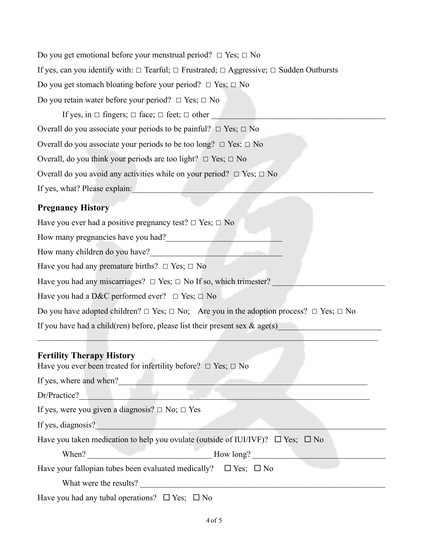Do you get emotional before your menstrual period?  $\Box$  Yes;  $\Box$  No If yes, can you identify with:  $\Box$  Tearful;  $\Box$  Frustrated;  $\Box$  Aggressive;  $\Box$  Sudden Outbursts Do you get stomach bloating before your period?  $\Box$  Yes;  $\Box$  No Do you retain water before your period?  $□$  Yes;  $□$  No If yes, in  $\Box$  fingers;  $\Box$  face;  $\Box$  feet;  $\Box$  other Overall do you associate your periods to be painful?  $□$  Yes;  $□$  No Overall do you associate your periods to be too long?  $\Box$  Yes;  $\Box$  No Overall, do you think your periods are too light?  $\Box$  Yes;  $\Box$  No Overall do you avoid any activities while on your period?  $\Box$  Yes;  $\Box$  No If yes, what? Please explain: **Pregnancy History**

Have you ever had a positive pregnancy test?  $\Box$  Yes;  $\Box$  No

How many pregnancies have you had?

How many children do you have?

Have you had any premature births?  $\Box$  Yes;  $\Box$  No

Have you had any miscarriages?  $\Box$  Yes;  $\Box$  No If so, which trimester?

Have you had a D&C performed ever?  $\Box$  Yes;  $\Box$  No

Do you have adopted children?  $\Box$  Yes;  $\Box$  No; Are you in the adoption process?  $\Box$  Yes;  $\Box$  No

 $\mathcal{L}_\text{max}$  and  $\mathcal{L}_\text{max}$  and  $\mathcal{L}_\text{max}$  and  $\mathcal{L}_\text{max}$  and  $\mathcal{L}_\text{max}$  and  $\mathcal{L}_\text{max}$ 

If you have had a child(ren) before, please list their present sex  $\&$  age(s)

### **Fertility Therapy History**

| Have you ever been treated for infertility before? $\Box$ Yes; $\Box$ No                  |
|-------------------------------------------------------------------------------------------|
| If yes, where and when?                                                                   |
| Dr/Practice?                                                                              |
| If yes, were you given a diagnosis? $\Box$ No; $\Box$ Yes                                 |
| If yes, diagnosis?                                                                        |
| Have you taken medication to help you ovulate (outside of IUI/IVF)? $\Box$ Yes: $\Box$ No |
| When?<br>How long?                                                                        |
| Have your fallopian tubes been evaluated medically? $\square$ Yes; $\square$ No           |
| What were the results?                                                                    |
| Have you had any tubal operations? $\Box$ Yes; $\Box$ No                                  |